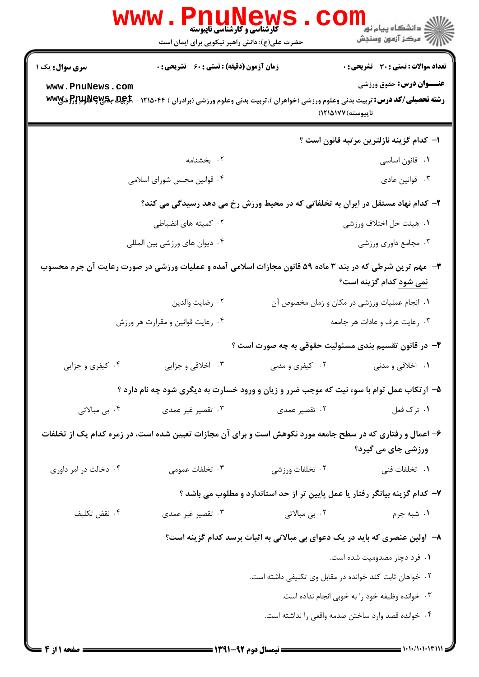|                                                                                                                                  | <b>WWW.PNUNEWS</b><br><b>گارشناسی و کارشناسی ناپیوسته</b><br>حضرت علی(ع): دانش راهبر نیکویی برای ایمان است                                       |                                                                              | ر دانشڪاه پيام نور <mark>−</mark><br>ا∛ مرکز آزمون وسنڊش |  |
|----------------------------------------------------------------------------------------------------------------------------------|--------------------------------------------------------------------------------------------------------------------------------------------------|------------------------------------------------------------------------------|----------------------------------------------------------|--|
| <b>سری سوال :</b> یک ۱                                                                                                           | <b>زمان آزمون (دقیقه) : تستی : 60 ٪ تشریحی : 0</b>                                                                                               |                                                                              | <b>تعداد سوالات : تستی : 30 ٪ تشریحی : 0</b>             |  |
| www.PnuNews.com                                                                                                                  | <b>رشته تحصیلی/کد درس:</b> تربیت بدنی وعلوم ورزشی (خواهران )،تربیت بدنی وعلوم ورزشی (برادران ) ۱۲۱۵۰۴۴ - <del>گرگیل بگیلوپالوپالوپالو</del> ژیپا | ناپيوسته) ١٢١۵١٧٧)                                                           | <b>عنــوان درس:</b> حقوق ورزشي                           |  |
|                                                                                                                                  |                                                                                                                                                  |                                                                              | ا– كدام گزينه نازلترين مرتبه قانون است ؟                 |  |
|                                                                                                                                  | ۰۲ بخشنامه                                                                                                                                       |                                                                              | ۰۱ قانون اساسی                                           |  |
|                                                                                                                                  | ۰۴ قوانین مجلس شورای اسلامی                                                                                                                      |                                                                              | ۰۳ قوانين عادي                                           |  |
| ۲- کدام نهاد مستقل در ایران به تخلفاتی که در محیط ورزش رخ می دهد رسیدگی می کند؟                                                  |                                                                                                                                                  |                                                                              |                                                          |  |
|                                                                                                                                  | ۰۲ کمیته های انضباطی                                                                                                                             |                                                                              | ۰۱ هیئت حل اختلاف ورزشی                                  |  |
| ۰۴ دیوان های ورزشی بین المللی                                                                                                    |                                                                                                                                                  | ۰۳ مجامع داوری ورزشی                                                         |                                                          |  |
|                                                                                                                                  | ۳- مهم ترین شرطی که در بند ۳ ماده ۵۹ قانون مجازات اسلامی آمده و عملیات ورزشی در صورت رعایت آن جرم محسوب                                          |                                                                              | نمی شود کدام گزینه است؟                                  |  |
|                                                                                                                                  | ٠٢ رضايت والدين                                                                                                                                  |                                                                              | ۰۱ انجام عملیات ورزشی در مکان و زمان مخصوص آن            |  |
|                                                                                                                                  | ۰۴ رعایت قوانین و مقرارت هر ورزش                                                                                                                 | ۰۳ رعایت عرف و عادات هر جامعه                                                |                                                          |  |
|                                                                                                                                  |                                                                                                                                                  | ۴- در قانون تقسیم بندی مسئولیت حقوقی به چه صورت است ؟                        |                                                          |  |
| ۰۴ کیفری و جزایی                                                                                                                 | ۰۳ اخلاقی و جزایی                                                                                                                                | ۰۲ کیفری و مدنی                                                              | ۱. اخلاقی و مدنی                                         |  |
|                                                                                                                                  | ۵- ارتکاب عمل توام با سوء نیت که موجب ضرر و زیان و ورود خسارت به دیگری شود چه نام دارد ؟                                                         |                                                                              |                                                          |  |
| ۰۴ بی مبالاتی                                                                                                                    | ۰۳ تقصیر غیر عمدی                                                                                                                                | ۰۲ تقصیر عمدی                                                                | ۰۱ ترک فعل                                               |  |
| ۶– اعمال و رفتاری که در سطح جامعه مورد نکوهش است و برای آن مجازات تعیین شده است، در زمره کدام یک از تخلفات<br>ورزشی جای می گیرد؟ |                                                                                                                                                  |                                                                              |                                                          |  |
| ۰۴ دخالت در امر داوری                                                                                                            | ۰۳ تخلفات عمومی                                                                                                                                  | ۰۲ تخلفات ورزشى                                                              | ۰۱ تخلفات فنی                                            |  |
|                                                                                                                                  |                                                                                                                                                  | ۷– کدام گزینه بیانگر رفتار یا عمل پایین تر از حد استاندارد و مطلوب می باشد ؟ |                                                          |  |
| ۰۴ نقض تكليف                                                                                                                     | ۰۳ تقصیر غیر عمدی                                                                                                                                | ۰۲ بی مبالاتی                                                                | ۰۱ شبه جرم                                               |  |
|                                                                                                                                  |                                                                                                                                                  | ۸– اولین عنصری که باید در یک دعوای بی مبالاتی به اثبات برسد کدام گزینه است؟  |                                                          |  |
| ۰۱ فرد دچار مصدومیت شده است.                                                                                                     |                                                                                                                                                  |                                                                              |                                                          |  |
| ۰۲ خواهان ثابت کند خوانده در مقابل وی تکلیفی داشته است.                                                                          |                                                                                                                                                  |                                                                              |                                                          |  |
|                                                                                                                                  | ۰۳ خوانده وظيفه خود را به خوبي انجام نداده است.                                                                                                  |                                                                              |                                                          |  |
|                                                                                                                                  |                                                                                                                                                  |                                                                              | ۰۴ خوانده قصد وارد ساختن صدمه واقعى را نداشته است.       |  |
|                                                                                                                                  |                                                                                                                                                  |                                                                              |                                                          |  |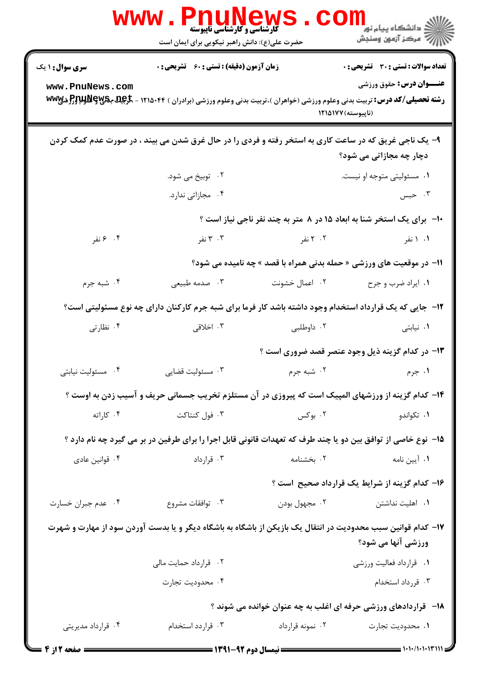|                        | <b>WWW.PNUNews</b><br><b>گارشناسی و کارشناسی ناپیوسته</b><br>حضرت علی(ع): دانش راهبر نیکویی برای ایمان است                                    |                                                                                                                | <mark>ڪ دانشڪاه پيام نور −</mark><br>  <i>  &gt;</i> مرڪز آزمون وسنڊش        |  |  |
|------------------------|-----------------------------------------------------------------------------------------------------------------------------------------------|----------------------------------------------------------------------------------------------------------------|------------------------------------------------------------------------------|--|--|
| <b>سری سوال :</b> ۱ یک | <b>زمان آزمون (دقیقه) : تستی : 60 ٪ تشریحی : 0</b>                                                                                            |                                                                                                                | تعداد سوالات : تستي : 30 ٪ تشريحي : 0                                        |  |  |
| www.PnuNews.com        | <b>رشته تحصیلی/کد درس:</b> تربیت بدنی وعلوم ورزشی (خواهران )،تربیت بدنی وعلوم ورزشی (برادران ) ۱۲۱۵۰۴۴ - <b>تاریجها بگلوللولوپژگ</b> ر شیل ww |                                                                                                                | <b>عنــوان درس:</b> حقوق ورزشي<br>(ناپیوسته) ۱۲۱۵۱۷۷                         |  |  |
|                        | ۹- یک ناجی غریق که در ساعت کاری به استخر رفته و فردی را در حال غرق شدن می بیند ، در صورت عدم کمک کردن                                         |                                                                                                                | دچار چه مجازاتی می شود؟                                                      |  |  |
|                        | ۰۲ توبیخ می شود.                                                                                                                              |                                                                                                                | ۰۱ مسئوليتي متوجه او نيست.                                                   |  |  |
|                        | ۰۴ مجازاتی ندارد.                                                                                                                             |                                                                                                                | ۰۳ حبس                                                                       |  |  |
|                        |                                                                                                                                               |                                                                                                                | <b>۱۰- برای یک استخر شنا به ابعاد ۱۵ در ۸ متر به چند نفر ناجی نیاز است</b> ؟ |  |  |
| ۰۴ ۶ نفر               | ۰۳ نفر                                                                                                                                        | ۲۰۲ نفر میشود. استفاده میشود که استفاده برای میکند که استفاده برای میکند که استفاده که استفاده برای کنیم که اس | ۰۱ ۱ نفر                                                                     |  |  |
|                        |                                                                                                                                               |                                                                                                                | <b>۱۱- در موقعیت های ورزشی « حمله بدنی همراه با قصد » چه نامیده می شود؟</b>  |  |  |
| ۰۴ شبه جرم             | ۰۳ صدمه طبیعی                                                                                                                                 | ۲. اعمال خشونت                                                                                                 | ۰۱ ایراد ضرب و جرح                                                           |  |  |
|                        | ۱۲– جایی که یک قرارداد استخدام وجود داشته باشد کار فرما برای شبه جرم کارکنان دارای چه نوع مسئولیتی است؟                                       |                                                                                                                |                                                                              |  |  |
| ۰۴ نظارتی              | ۰۳ اخلاقی                                                                                                                                     | ۰۲ داوطلبی                                                                                                     | ۰۱ نیابتی                                                                    |  |  |
|                        |                                                                                                                                               |                                                                                                                | ۱۳- در کدام گزینه ذیل وجود عنصر قصد ضروری است ؟                              |  |  |
| ۰۴ مسئولیت نیابتی      | ۰۳ مسئولیت قضای <sub>ی</sub>                                                                                                                  | ۰۲ شبه جرم                                                                                                     | ۰۱ جرم                                                                       |  |  |
|                        | ۱۴– کدام گزینه از ورزشهای المپیک است که پیروزی در آن مستلزم تخریب جسمانی حریف و آسیب زدن به اوست ؟                                            |                                                                                                                |                                                                              |  |  |
| ۰۴ کاراته              | ۰۳ فول کنتاکت                                                                                                                                 | ۰۲ بوکس                                                                                                        | ۰۱ تکواندو                                                                   |  |  |
|                        | ۱۵– نوع خاصی از توافق بین دو یا چند طرف که تعهدات قانونی قابل اجرا را برای طرفین در بر می گیرد چه نام دارد ؟                                  |                                                                                                                |                                                                              |  |  |
| ۰۴ قوانین عادی         | ۰۳ قرارداد                                                                                                                                    | ۰۲ بخشنامه                                                                                                     | ۰۱ آیین نامه                                                                 |  |  |
|                        |                                                                                                                                               |                                                                                                                | ۱۶– کدام گزینه از شرایط یک قرارداد صحیح است ؟                                |  |  |
| ۰۴ عدم جبران خسارت     | ۰۳ توافقات مشروع                                                                                                                              | ۰۲ مجهول بودن                                                                                                  | ۰۱ اهلیت نداشتن                                                              |  |  |
|                        | ۱۷– کدام قوانین سبب محدودیت در انتقال یک بازیکن از باشگاه به باشگاه دیگر و یا بدست آوردن سود از مهارت و شهرت                                  |                                                                                                                | ورزشی آنها می شود؟                                                           |  |  |
|                        | ۰۲ قرارداد حمایت مالی                                                                                                                         |                                                                                                                | ٠١ قرارداد فعاليت ورزشي                                                      |  |  |
|                        | ۰۴ محدوديت تجارت                                                                                                                              |                                                                                                                | ۰۳ قررداد استخدام                                                            |  |  |
|                        |                                                                                                                                               |                                                                                                                | ۱۸- قراردادهای ورزشی حرفه ای اغلب به چه عنوان خوانده می شوند ؟               |  |  |
| ۰۴ قرارداد مدیریتی     | ۰۳ قراردد استخدام                                                                                                                             | ۰۲ نمونه قرارداد                                                                                               | ۰۱ محدودیت تجارت                                                             |  |  |
| <b>: صفحه 12ز 4</b>    | <b>ــــ نیمسال دوم ۹۲-۱۳۹۱ ـــــ</b>                                                                                                          |                                                                                                                |                                                                              |  |  |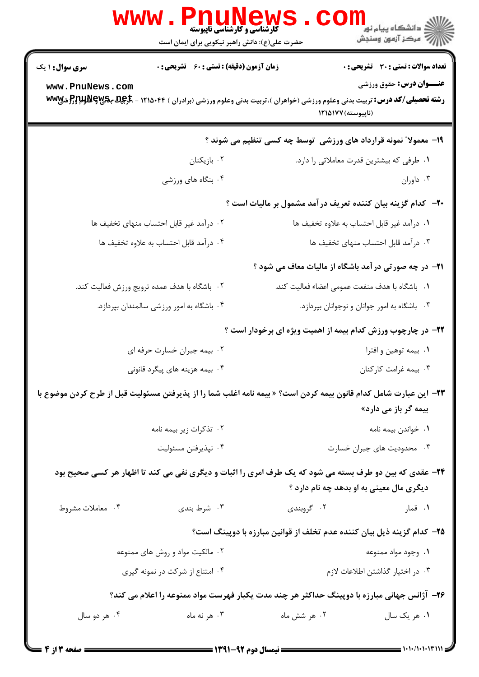|                                                                                                                                                    | <b>www.Pnunews</b><br><b>گارشناسی و کارشناسی ناپیوسته</b><br>حضرت علی(ع): دانش راهبر نیکویی برای ایمان است                                                                                      |                                                 | الاد دانشگاه پیام نور<br>الاد مرکز آزمون وسنجش                                 |  |
|----------------------------------------------------------------------------------------------------------------------------------------------------|-------------------------------------------------------------------------------------------------------------------------------------------------------------------------------------------------|-------------------------------------------------|--------------------------------------------------------------------------------|--|
| سری سوال : ۱ یک<br>www.PnuNews.com                                                                                                                 | زمان آزمون (دقیقه) : تستی : 60 ٪ تشریحی : 0<br><b>رشته تحصیلی/کد درس:</b> تربیت بدنی وعلوم ورزشی (خواهران )،تربیت بدنی وعلوم ورزشی (برادران ) ۱۲۱۵۰۴۴ - <del>گرگیل بگیلوپالوپالوپالو</del> ژیپا | (ناپيوسته) ۱۲۱۵۱۷۷                              | <b>تعداد سوالات : تستی : 30 ٪ تشریحی : 0</b><br><b>عنــوان درس:</b> حقوق ورزشي |  |
| ۱۹- معمولا ً نمونه قرارداد های ورزشی ً توسط چه کسی تنظیم می شوند ؟                                                                                 |                                                                                                                                                                                                 |                                                 |                                                                                |  |
|                                                                                                                                                    | ۰۲ بازیکنان                                                                                                                                                                                     |                                                 | ۰۱ طرفی که بیشترین قدرت معاملاتی را دارد.                                      |  |
|                                                                                                                                                    | ۰۴ بنگاه های ورزشی                                                                                                                                                                              |                                                 | ۰۳ داوران                                                                      |  |
| <b>۰۲-</b> کدام گزینه بیان کننده تعریف درآمد مشمول بر مالیات است ؟                                                                                 |                                                                                                                                                                                                 |                                                 |                                                                                |  |
|                                                                                                                                                    | ٠٢ درآمد غير قابل احتساب منهاى تخفيف ها                                                                                                                                                         | ٠١ درآمد غير قابل احتساب به علاوه تخفيف ها      |                                                                                |  |
| ۰۴ درآمد قابل احتساب به علاوه تخفيف ها                                                                                                             |                                                                                                                                                                                                 | ۰۳ درآمد قابل احتساب منهای تخفیف ها             |                                                                                |  |
|                                                                                                                                                    |                                                                                                                                                                                                 |                                                 | <b>۲۱</b> - در چه صورتی در آمد باشگاه از مالیات معاف می شود ؟                  |  |
| ۲. باشگاه با هدف عمده ترویج ورزش فعالیت کند.                                                                                                       |                                                                                                                                                                                                 | ٠١. باشگاه با هدف منفعت عمومي اعضاء فعاليت كند. |                                                                                |  |
|                                                                                                                                                    | ۰۴ باشگاه به امور ورزشی سالمندان بپردازد.                                                                                                                                                       |                                                 | ۰۳ باشگاه به امور جوانان و نوجوانان بپردازد.                                   |  |
|                                                                                                                                                    |                                                                                                                                                                                                 |                                                 | <b>۲۲</b> - در چارچوب ورزش کدام بیمه از اهمیت ویژه ای برخودار است ؟            |  |
|                                                                                                                                                    | ۰۲ بیمه جبران خسارت حرفه ای                                                                                                                                                                     |                                                 | ۰۱ بیمه توهین و افترا                                                          |  |
| ۴. بیمه هزینه های پیگرد قانونی                                                                                                                     |                                                                                                                                                                                                 | ۰۳ بیمه غرامت کارکنان                           |                                                                                |  |
| ۲۳− این عبارت شامل کدام قانون بیمه کردن است؟ « بیمه نامه اغلب شما را از پذیرفتن مسئولیت قبل از طرح کردن موضوع با<br>بیمه گر باز می دارد»           |                                                                                                                                                                                                 |                                                 |                                                                                |  |
| ۰۲ تذکرات زیر بیمه نامه                                                                                                                            |                                                                                                                                                                                                 | ٠١ خواندن بيمه نامه                             |                                                                                |  |
|                                                                                                                                                    | ۰۴ نپذيرفتن مسئوليت                                                                                                                                                                             | ۰۳ محدودیت های جبران خسارت                      |                                                                                |  |
| ۲۴- عقدی که بین دو طرف بسته می شود که یک طرف امری را اثبات و دیگری نفی می کند تا اظهار هر کسی صحیح بود<br>دیگری مال معینی به او بدهد چه نام دارد ؟ |                                                                                                                                                                                                 |                                                 |                                                                                |  |
| ۰۴ معاملات مشروط                                                                                                                                   | ۰۳ شرط بندی                                                                                                                                                                                     | ۰۲ گروبندی                                      | ۰۱ قمار                                                                        |  |
|                                                                                                                                                    |                                                                                                                                                                                                 |                                                 | ۲۵– کدام گزینه ذیل بیان کننده عدم تخلف از قوانین مبارزه با دوپینگ است؟         |  |
|                                                                                                                                                    | ۰۲ مالکیت مواد و روش های ممنوعه                                                                                                                                                                 |                                                 | ۰۱ وجود مواد ممنوعه                                                            |  |
|                                                                                                                                                    | ۰۴ امتناع از شرکت در نمونه گیری                                                                                                                                                                 | ۰۳ در اختیار گذاشتن اطلاعات لازم                |                                                                                |  |
| ۲۶- آژانس جهانی مبارزه با دوپینگ حداکثر هر چند مدت یکبار فهرست مواد ممنوعه را اعلام می کند؟                                                        |                                                                                                                                                                                                 |                                                 |                                                                                |  |
| ۰۴ هر دو سال                                                                                                                                       | ۰۳ هر نه ماه                                                                                                                                                                                    | ۰۲ هر شش ماه                                    | ۰۱ هر یک سال                                                                   |  |
|                                                                                                                                                    |                                                                                                                                                                                                 |                                                 |                                                                                |  |

 $= 1.1 - (1.111T)$